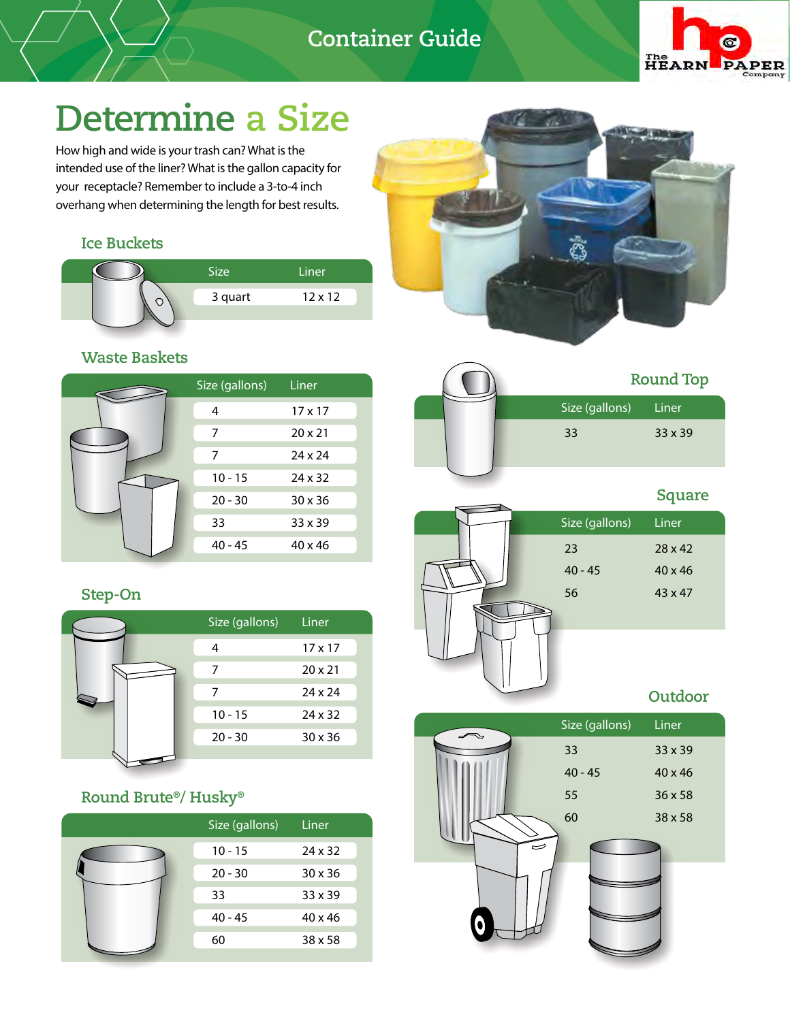## **Container Guide**



# **Determine a Size**

How high and wide is your trash can? What is the intended use of the liner? What is the gallon capacity for your receptacle? Remember to include a 3-to-4 inch overhang when determining the length for best results.

### **Ice Buckets**

| <b>Size</b> | Liner          |  |
|-------------|----------------|--|
| 3 quart     | $12 \times 12$ |  |
|             |                |  |

### **Waste Baskets**

| Size (gallons) | Liner          |
|----------------|----------------|
| 4              | $17 \times 17$ |
| 7              | $20 \times 21$ |
| 7              | $24 \times 24$ |
| $10 - 15$      | $24 \times 32$ |
| $20 - 30$      | $30 \times 36$ |
| 33             | $33 \times 39$ |
| $40 - 45$      | $40 \times 46$ |

### **Step-On**

|  | Size (gallons) | Liner          |
|--|----------------|----------------|
|  |                | $17 \times 17$ |
|  | 7              | $20 \times 21$ |
|  |                | $24 \times 24$ |
|  | $10 - 15$      | $24 \times 32$ |
|  | $20 - 30$      | $30 \times 36$ |
|  |                |                |

### **Round Brute®/ Husky®**

| Size (gallons) | Liner          |
|----------------|----------------|
| $10 - 15$      | $24 \times 32$ |
| $20 - 30$      | $30 \times 36$ |
| 33             | $33 \times 39$ |
| $40 - 45$      | $40 \times 46$ |
| 60             | $38 \times 58$ |





# 23 28 x 42 40 - 45 40 x 46 56 43 x 47 Size (gallons) Liner **Square**

### **Outdoor**

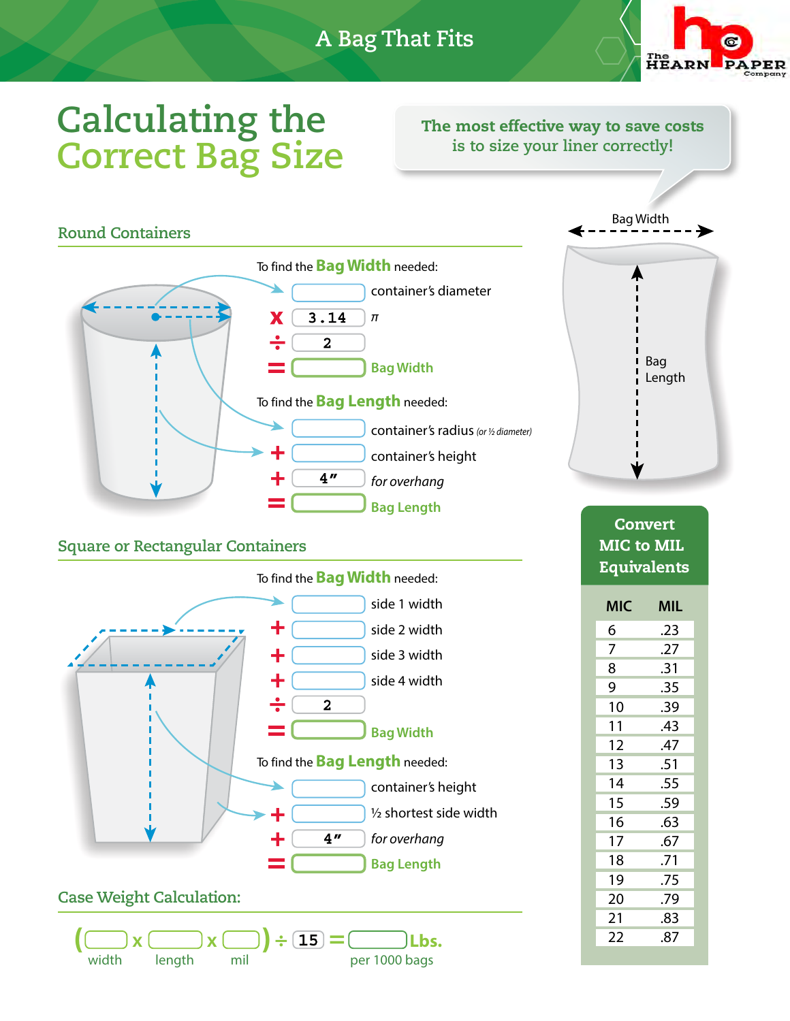

# **Calculating the Correct Bag Size**

The most effective way to save costs **is to size your liner correctly!** 

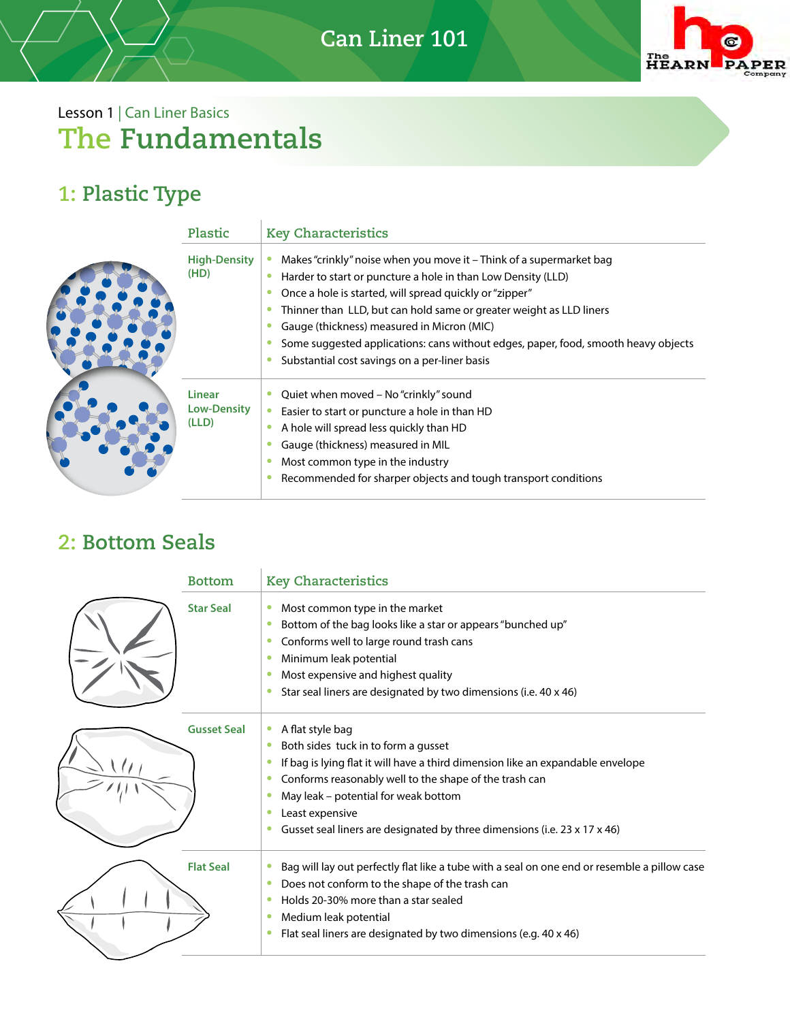

# Lesson 1 | Can Liner Basics **The Fundamentals**

## **1: Plastic Type**

| Plastic                                      | <b>Key Characteristics</b>                                                                                                                                                                                                                                                                                                                                                                                                                                 |  |  |
|----------------------------------------------|------------------------------------------------------------------------------------------------------------------------------------------------------------------------------------------------------------------------------------------------------------------------------------------------------------------------------------------------------------------------------------------------------------------------------------------------------------|--|--|
| <b>High-Density</b><br>(HD)                  | Makes "crinkly" noise when you move it - Think of a supermarket bag<br>Harder to start or puncture a hole in than Low Density (LLD)<br>Once a hole is started, will spread quickly or "zipper"<br>Thinner than LLD, but can hold same or greater weight as LLD liners<br>Gauge (thickness) measured in Micron (MIC)<br>Some suggested applications: cans without edges, paper, food, smooth heavy objects<br>Substantial cost savings on a per-liner basis |  |  |
| <b>Linear</b><br><b>Low-Density</b><br>(LLD) | Quiet when moved - No "crinkly" sound<br>Easier to start or puncture a hole in than HD<br>A hole will spread less quickly than HD<br>Gauge (thickness) measured in MIL<br>Most common type in the industry<br>Recommended for sharper objects and tough transport conditions                                                                                                                                                                               |  |  |

## **2: Bottom Seals**

| <b>Bottom</b>      | <b>Key Characteristics</b>                                                                                                                                                                                                                                                                                                                                                                         |
|--------------------|----------------------------------------------------------------------------------------------------------------------------------------------------------------------------------------------------------------------------------------------------------------------------------------------------------------------------------------------------------------------------------------------------|
| <b>Star Seal</b>   | Most common type in the market<br>$\bullet$<br>Bottom of the bag looks like a star or appears "bunched up"<br>۰<br>Conforms well to large round trash cans<br>۰<br>Minimum leak potential<br>۰<br>Most expensive and highest quality<br>۰<br>Star seal liners are designated by two dimensions (i.e. 40 x 46)<br>$\bullet$                                                                         |
| <b>Gusset Seal</b> | A flat style bag<br>$\bullet$<br>Both sides tuck in to form a gusset<br>۰<br>If bag is lying flat it will have a third dimension like an expandable envelope<br>$\bullet$<br>Conforms reasonably well to the shape of the trash can<br>۰<br>May leak – potential for weak bottom<br>۰<br>Least expensive<br>$\bullet$<br>Gusset seal liners are designated by three dimensions (i.e. 23 x 17 x 46) |
| <b>Flat Seal</b>   | Bag will lay out perfectly flat like a tube with a seal on one end or resemble a pillow case<br>$\bullet$<br>Does not conform to the shape of the trash can<br>$\bullet$<br>Holds 20-30% more than a star sealed<br>$\bullet$<br>Medium leak potential<br>$\bullet$<br>Flat seal liners are designated by two dimensions (e.g. 40 x 46)<br>$\bullet$                                               |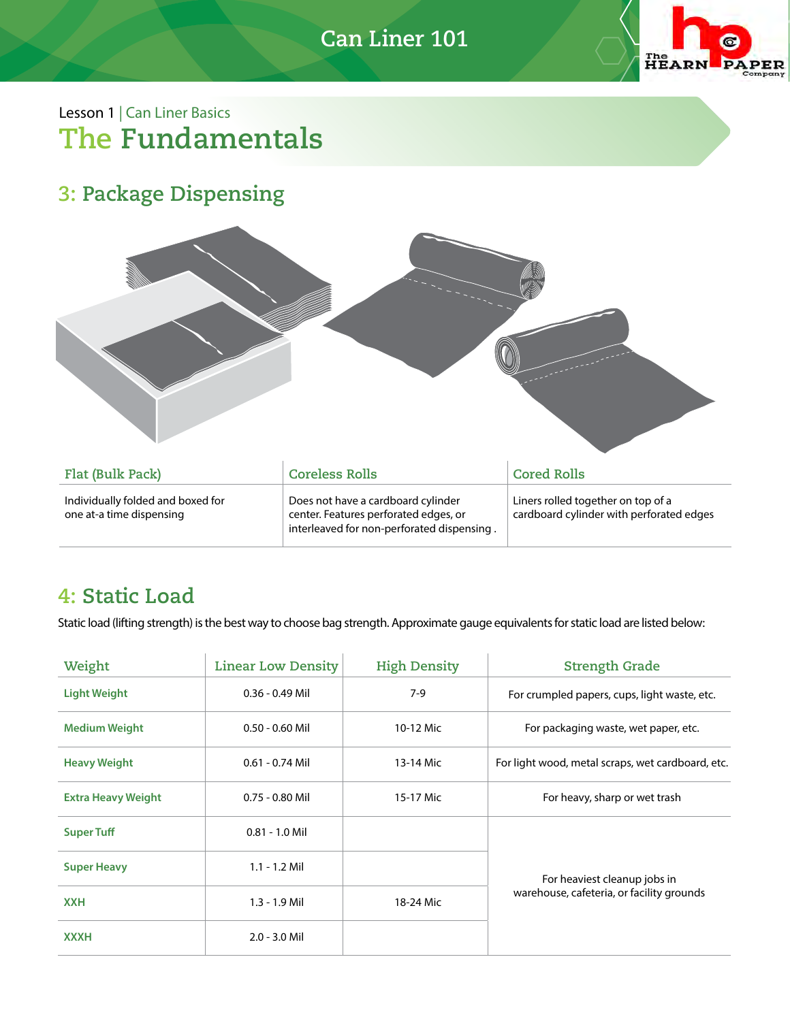## **Can Liner 101**



### Lesson 1 | Can Liner Basics **The Fundamentals**

## **3: Package Dispensing**



| Flat (Bulk Pack)                                              | <b>Coreless Rolls</b>                                                                                                     | <b>Cored Rolls</b>                                                             |
|---------------------------------------------------------------|---------------------------------------------------------------------------------------------------------------------------|--------------------------------------------------------------------------------|
| Individually folded and boxed for<br>one at-a time dispensing | Does not have a cardboard cylinder<br>center. Features perforated edges, or<br>interleaved for non-perforated dispensing. | Liners rolled together on top of a<br>cardboard cylinder with perforated edges |

### **4: Static Load**

Static load (lifting strength) is the best way to choose bag strength. Approximate gauge equivalents for static load are listed below:

| Weight                    | <b>Linear Low Density</b> | <b>High Density</b> | <b>Strength Grade</b>                                                     |  |
|---------------------------|---------------------------|---------------------|---------------------------------------------------------------------------|--|
| <b>Light Weight</b>       | $0.36 - 0.49$ Mil         | $7-9$               | For crumpled papers, cups, light waste, etc.                              |  |
| <b>Medium Weight</b>      | $0.50 - 0.60$ Mil         | 10-12 Mic           | For packaging waste, wet paper, etc.                                      |  |
| <b>Heavy Weight</b>       | $0.61 - 0.74$ Mil         | 13-14 Mic           | For light wood, metal scraps, wet cardboard, etc.                         |  |
| <b>Extra Heavy Weight</b> | $0.75 - 0.80$ Mil         | 15-17 Mic           | For heavy, sharp or wet trash                                             |  |
| <b>Super Tuff</b>         | $0.81 - 1.0$ Mil          |                     |                                                                           |  |
| <b>Super Heavy</b>        | $1.1 - 1.2$ Mil           |                     | For heaviest cleanup jobs in<br>warehouse, cafeteria, or facility grounds |  |
| <b>XXH</b>                | 1.3 - 1.9 Mil             | 18-24 Mic           |                                                                           |  |
| <b>XXXH</b>               | $2.0 - 3.0$ Mil           |                     |                                                                           |  |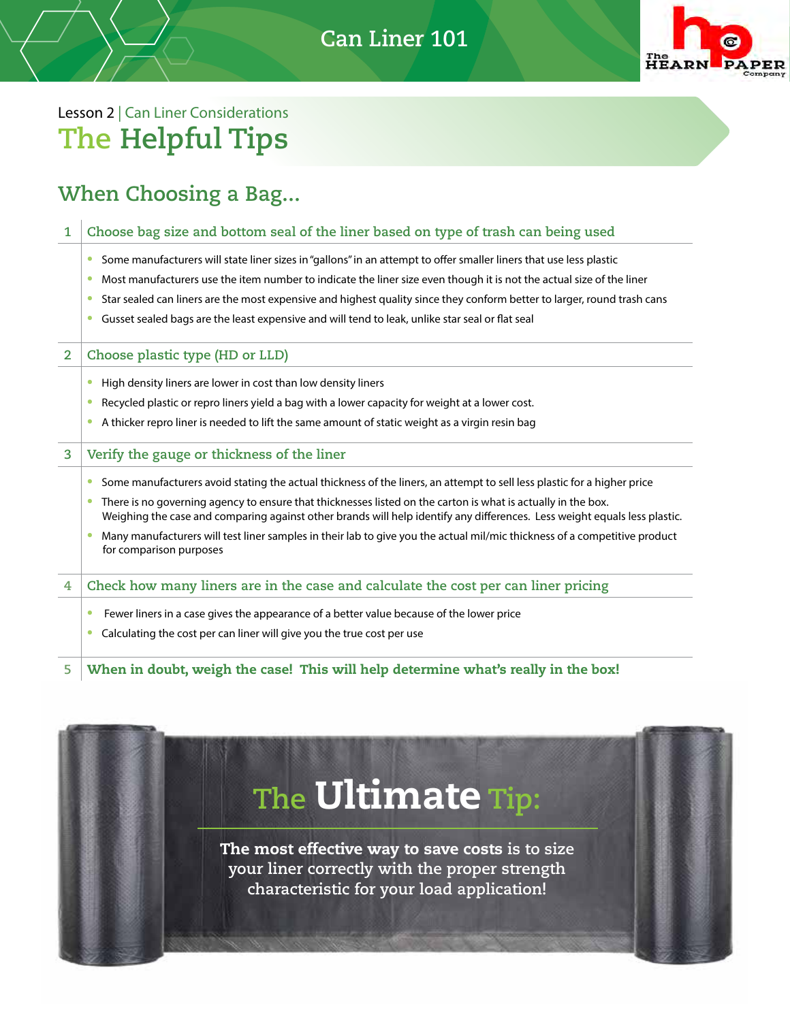**Can Liner 101** 



## Lesson 2 | Can Liner Considerations **The Helpful Tips**

### **When Choosing a Bag...**

#### **1 Choose bag size and bottom seal of the liner based on type of trash can being used**

- Some manufacturers will state liner sizes in "gallons" in an attempt to offer smaller liners that use less plastic
- Most manufacturers use the item number to indicate the liner size even though it is not the actual size of the liner
- Star sealed can liners are the most expensive and highest quality since they conform better to larger, round trash cans
- Gusset sealed bags are the least expensive and will tend to leak, unlike star seal or flat seal

#### **2 Choose plastic type (HD or LLD)**

- High density liners are lower in cost than low density liners
- Recycled plastic or repro liners yield a bag with a lower capacity for weight at a lower cost.
- A thicker repro liner is needed to lift the same amount of static weight as a virgin resin bag

#### **3 Verify the gauge or thickness of the liner**

- Some manufacturers avoid stating the actual thickness of the liners, an attempt to sell less plastic for a higher price
- There is no governing agency to ensure that thicknesses listed on the carton is what is actually in the box. Weighing the case and comparing against other brands will help identify any differences. Less weight equals less plastic.
- Many manufacturers will test liner samples in their lab to give you the actual mil/mic thickness of a competitive product for comparison purposes

**4 Check how many liners are in the case and calculate the cost per can liner pricing** 

- **•** Fewer liners in a case gives the appearance of a better value because of the lower price
- Calculating the cost per can liner will give you the true cost per use

**5** When in doubt, weigh the case! This will help determine what's really in the box!

# **The** Ultimate **Tip:**

The most effective way to save costs **is to size your liner correctly with the proper strength characteristic for your load application!**